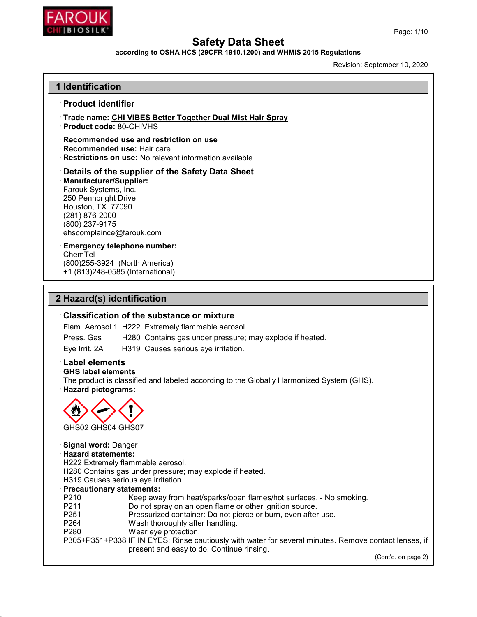

### according to OSHA HCS (29CFR 1910.1200) and WHMIS 2015 Regulations

Revision: September 10, 2020

## 1 Identification · Product identifier · Trade name: CHI VIBES Better Together Dual Mist Hair Spray · Product code: 80-CHIVHS · Recommended use and restriction on use · Recommended use: Hair care. · Restrictions on use: No relevant information available. · Details of the supplier of the Safety Data Sheet · Manufacturer/Supplier: Farouk Systems, Inc. 250 Pennbright Drive Houston, TX 77090 (281) 876-2000 (800) 237-9175 ehscomplaince@farouk.com Emergency telephone number: ChemTel (800)255-3924 (North America) +1 (813)248-0585 (International) 2 Hazard(s) identification · Classification of the substance or mixture Flam. Aerosol 1 H222 Extremely flammable aerosol. Press. Gas H280 Contains gas under pressure; may explode if heated. Eye Irrit. 2A H319 Causes serious eye irritation. · Label elements · GHS label elements The product is classified and labeled according to the Globally Harmonized System (GHS). · Hazard pictograms:



#### · Signal word: Danger

#### · Hazard statements:

H222 Extremely flammable aerosol.

H280 Contains gas under pressure; may explode if heated.

H319 Causes serious eye irritation.

#### · Precautionary statements:

- P210 Keep away from heat/sparks/open flames/hot surfaces. No smoking.<br>P211 Do not spray on an open flame or other ignition source.
- P211 Do not spray on an open flame or other ignition source.<br>P251 Pressurized container: Do not pierce or burn, even after
- P251 Pressurized container: Do not pierce or burn, even after use.<br>P264 Wash thoroughly after handling.
- P264 Wash thoroughly after handling.<br>P280 Wear eye protection.
- Wear eye protection.
- P305+P351+P338 IF IN EYES: Rinse cautiously with water for several minutes. Remove contact lenses, if present and easy to do. Continue rinsing.

(Cont'd. on page 2)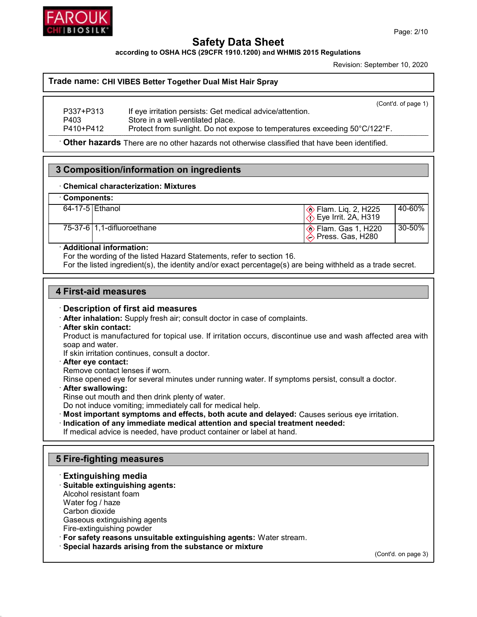

according to OSHA HCS (29CFR 1910.1200) and WHMIS 2015 Regulations

Revision: September 10, 2020

#### Trade name: CHI VIBES Better Together Dual Mist Hair Spray

|           | (Cont'd. of page 1)                                                        |
|-----------|----------------------------------------------------------------------------|
| P337+P313 | If eye irritation persists: Get medical advice/attention.                  |
| P403      | Store in a well-ventilated place.                                          |
| P410+P412 | Protect from sunlight. Do not expose to temperatures exceeding 50°C/122°F. |

· Other hazards There are no other hazards not otherwise classified that have been identified.

## 3 Composition/information on ingredients

#### · Chemical characterization: Mixtures

## · Components:

| 64-17-5 Ethanol |                            | $\otimes$ Flam. Lig. 2, H225<br>$\langle$ . Eye Irrit. 2A, H319 | 40-60%  |
|-----------------|----------------------------|-----------------------------------------------------------------|---------|
|                 | 75-37-6 1,1-difluoroethane | <b>♦ Flam. Gas 1, H220</b><br>$\Diamond$ Press. Gas, H280       | '30-50% |

#### · Additional information:

For the wording of the listed Hazard Statements, refer to section 16.

For the listed ingredient(s), the identity and/or exact percentage(s) are being withheld as a trade secret.

#### 4 First-aid measures

### · Description of first aid measures

· After inhalation: Supply fresh air; consult doctor in case of complaints.

#### · After skin contact:

Product is manufactured for topical use. If irritation occurs, discontinue use and wash affected area with soap and water.

If skin irritation continues, consult a doctor.

#### · After eye contact:

Remove contact lenses if worn.

Rinse opened eye for several minutes under running water. If symptoms persist, consult a doctor.

· After swallowing:

Rinse out mouth and then drink plenty of water.

Do not induce vomiting; immediately call for medical help.

· Most important symptoms and effects, both acute and delayed: Causes serious eye irritation.

· Indication of any immediate medical attention and special treatment needed:

If medical advice is needed, have product container or label at hand.

### 5 Fire-fighting measures

# · Extinguishing media

· Suitable extinguishing agents: Alcohol resistant foam

Water fog / haze

Carbon dioxide

Gaseous extinguishing agents

Fire-extinguishing powder

· For safety reasons unsuitable extinguishing agents: Water stream.

· Special hazards arising from the substance or mixture

(Cont'd. on page 3)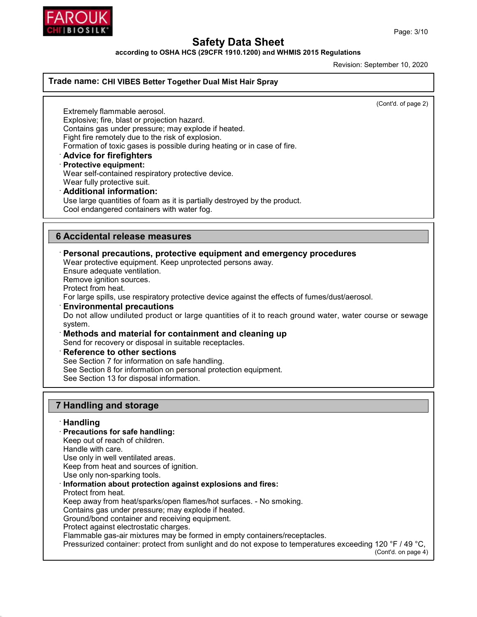

according to OSHA HCS (29CFR 1910.1200) and WHMIS 2015 Regulations

Revision: September 10, 2020

#### Trade name: CHI VIBES Better Together Dual Mist Hair Spray

(Cont'd. of page 2)

Extremely flammable aerosol. Explosive; fire, blast or projection hazard. Contains gas under pressure; may explode if heated. Fight fire remotely due to the risk of explosion. Formation of toxic gases is possible during heating or in case of fire. · Advice for firefighters · Protective equipment:

Wear self-contained respiratory protective device.

Wear fully protective suit. · Additional information:

Use large quantities of foam as it is partially destroyed by the product.

Cool endangered containers with water fog.

## 6 Accidental release measures

· Personal precautions, protective equipment and emergency procedures

Wear protective equipment. Keep unprotected persons away.

Ensure adequate ventilation.

Remove ignition sources.

Protect from heat.

For large spills, use respiratory protective device against the effects of fumes/dust/aerosol.

· Environmental precautions

Do not allow undiluted product or large quantities of it to reach ground water, water course or sewage system.

Methods and material for containment and cleaning up

Send for recovery or disposal in suitable receptacles.

**Reference to other sections** 

See Section 7 for information on safe handling.

See Section 8 for information on personal protection equipment.

See Section 13 for disposal information.

## 7 Handling and storage

· Handling · Precautions for safe handling: Keep out of reach of children. Handle with care. Use only in well ventilated areas. Keep from heat and sources of ignition. Use only non-sparking tools. Information about protection against explosions and fires: Protect from heat. Keep away from heat/sparks/open flames/hot surfaces. - No smoking. Contains gas under pressure; may explode if heated. Ground/bond container and receiving equipment. Protect against electrostatic charges. Flammable gas-air mixtures may be formed in empty containers/receptacles. Pressurized container: protect from sunlight and do not expose to temperatures exceeding 120 °F / 49 °C, (Cont'd. on page 4)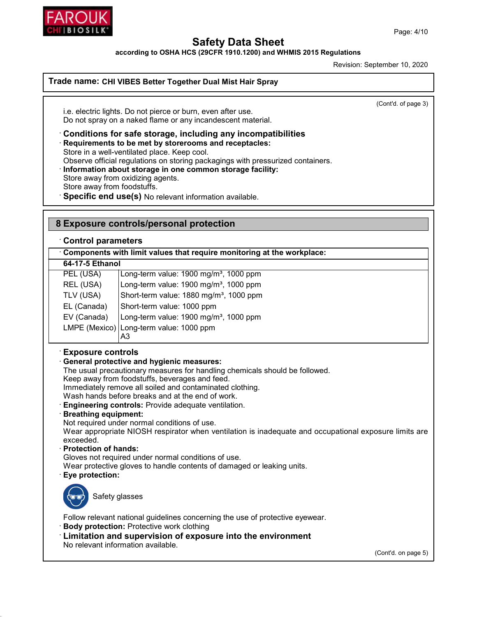

according to OSHA HCS (29CFR 1910.1200) and WHMIS 2015 Regulations

Revision: September 10, 2020

#### Trade name: CHI VIBES Better Together Dual Mist Hair Spray

(Cont'd. of page 3)

i.e. electric lights. Do not pierce or burn, even after use. Do not spray on a naked flame or any incandescent material.

· Conditions for safe storage, including any incompatibilities

· Requirements to be met by storerooms and receptacles:

Store in a well-ventilated place. Keep cool.

Observe official regulations on storing packagings with pressurized containers.

· Information about storage in one common storage facility:

Store away from oxidizing agents.

Store away from foodstuffs.

Specific end use(s) No relevant information available.

## 8 Exposure controls/personal protection

#### · Control parameters

· Components with limit values that require monitoring at the workplace:

64-17-5 Ethanol

|             | PEL (USA)   | Long-term value: 1900 mg/m <sup>3</sup> , 1000 ppm  |  |  |
|-------------|-------------|-----------------------------------------------------|--|--|
| REL (USA)   |             | Long-term value: 1900 mg/m <sup>3</sup> , 1000 ppm  |  |  |
|             | TLV (USA)   | Short-term value: 1880 mg/m <sup>3</sup> , 1000 ppm |  |  |
| EL (Canada) |             | Short-term value: 1000 ppm                          |  |  |
|             | EV (Canada) | Long-term value: 1900 mg/m <sup>3</sup> , 1000 ppm  |  |  |
|             |             | LMPE (Mexico) Long-term value: 1000 ppm             |  |  |
|             |             |                                                     |  |  |

### · Exposure controls

### · General protective and hygienic measures:

The usual precautionary measures for handling chemicals should be followed.

Keep away from foodstuffs, beverages and feed.

Immediately remove all soiled and contaminated clothing.

Wash hands before breaks and at the end of work.

**Engineering controls:** Provide adequate ventilation.

#### · Breathing equipment:

Not required under normal conditions of use.

Wear appropriate NIOSH respirator when ventilation is inadequate and occupational exposure limits are exceeded.

#### · Protection of hands:

Gloves not required under normal conditions of use.

Wear protective gloves to handle contents of damaged or leaking units.

### Eye protection:



Safety glasses

Follow relevant national guidelines concerning the use of protective eyewear.

- · Body protection: Protective work clothing
- · Limitation and supervision of exposure into the environment No relevant information available.

(Cont'd. on page 5)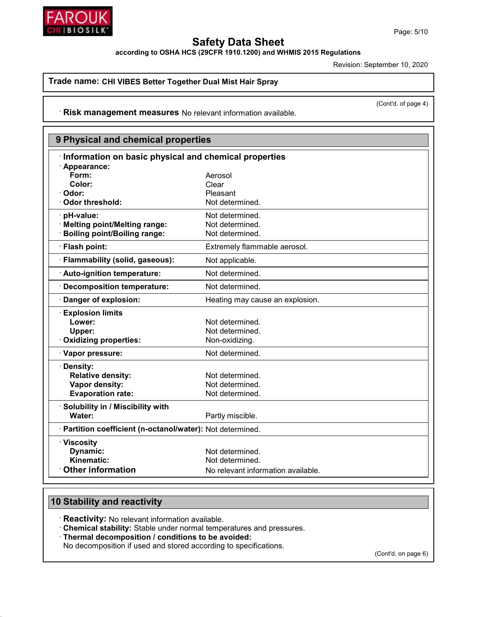

according to OSHA HCS (29CFR 1910.1200) and WHMIS 2015 Regulations

Revision: September 10, 2020

Trade name: CHI VIBES Better Together Dual Mist Hair Spray

· Risk management measures No relevant information available.

| 9 Physical and chemical properties                         |                                                       |  |
|------------------------------------------------------------|-------------------------------------------------------|--|
|                                                            | Information on basic physical and chemical properties |  |
| · Appearance:                                              |                                                       |  |
| Form:                                                      | Aerosol                                               |  |
| Color:                                                     | Clear                                                 |  |
| Odor:                                                      | Pleasant                                              |  |
| Odor threshold:                                            | Not determined.                                       |  |
| pH-value:                                                  | Not determined.                                       |  |
| <b>Melting point/Melting range:</b>                        | Not determined.                                       |  |
| <b>Boiling point/Boiling range:</b>                        | Not determined.                                       |  |
| · Flash point:                                             | Extremely flammable aerosol.                          |  |
| · Flammability (solid, gaseous):                           | Not applicable.                                       |  |
| Auto-ignition temperature:                                 | Not determined.                                       |  |
| · Decomposition temperature:                               | Not determined.                                       |  |
| Danger of explosion:                                       | Heating may cause an explosion.                       |  |
| <b>Explosion limits</b>                                    |                                                       |  |
| Lower:                                                     | Not determined.                                       |  |
| Upper:                                                     | Not determined.                                       |  |
| <b>Oxidizing properties:</b>                               | Non-oxidizing.                                        |  |
| · Vapor pressure:                                          | Not determined.                                       |  |
| · Density:                                                 |                                                       |  |
| <b>Relative density:</b>                                   | Not determined.                                       |  |
| Vapor density:                                             | Not determined.                                       |  |
| <b>Evaporation rate:</b>                                   | Not determined.                                       |  |
| · Solubility in / Miscibility with                         |                                                       |  |
| Water:                                                     | Partly miscible.                                      |  |
| · Partition coefficient (n-octanol/water): Not determined. |                                                       |  |
| · Viscosity                                                |                                                       |  |
| Dynamic:                                                   | Not determined.                                       |  |
| Kinematic:                                                 | Not determined.                                       |  |
| <b>Other information</b>                                   | No relevant information available.                    |  |

## 10 Stability and reactivity

· Reactivity: No relevant information available.

· Chemical stability: Stable under normal temperatures and pressures.

· Thermal decomposition / conditions to be avoided:

No decomposition if used and stored according to specifications.

(Cont'd. on page 6)

(Cont'd. of page 4)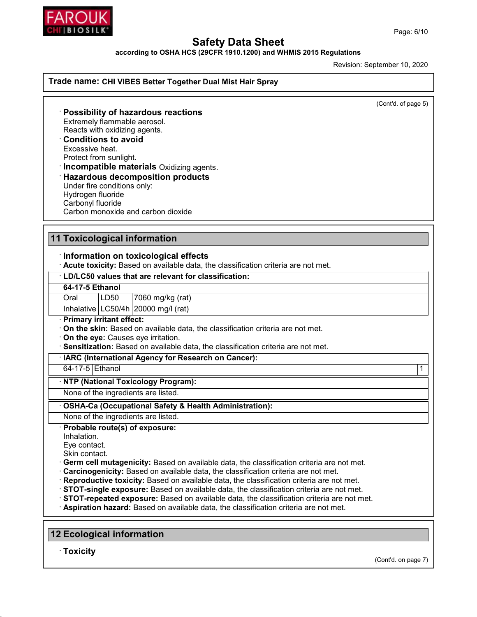

according to OSHA HCS (29CFR 1910.1200) and WHMIS 2015 Regulations

Revision: September 10, 2020

Trade name: CHI VIBES Better Together Dual Mist Hair Spray

(Cont'd. of page 5)

· Possibility of hazardous reactions Extremely flammable aerosol. Reacts with oxidizing agents. · Conditions to avoid Excessive heat. Protect from sunlight. · Incompatible materials Oxidizing agents. · Hazardous decomposition products

Under fire conditions only: Hydrogen fluoride Carbonyl fluoride Carbon monoxide and carbon dioxide

## 11 Toxicological information

### · Information on toxicological effects

· Acute toxicity: Based on available data, the classification criteria are not met.

· LD/LC50 values that are relevant for classification: 64-17-5 Ethanol Oral LD50 7060 mg/kg (rat) Inhalative  $\lfloor$  LC50/4h $\rfloor$ 20000 mg/l (rat) · Primary irritant effect: · On the skin: Based on available data, the classification criteria are not met. · On the eye: Causes eye irritation. · Sensitization: Based on available data, the classification criteria are not met. · IARC (International Agency for Research on Cancer): 64-17-5 Ethanol 1 · NTP (National Toxicology Program): None of the ingredients are listed. · OSHA-Ca (Occupational Safety & Health Administration): None of the ingredients are listed. · Probable route(s) of exposure: Inhalation. Eye contact. Skin contact.

· Germ cell mutagenicity: Based on available data, the classification criteria are not met.

- · Carcinogenicity: Based on available data, the classification criteria are not met.
- · Reproductive toxicity: Based on available data, the classification criteria are not met.
- · STOT-single exposure: Based on available data, the classification criteria are not met.
- · STOT-repeated exposure: Based on available data, the classification criteria are not met.
- · Aspiration hazard: Based on available data, the classification criteria are not met.

### 12 Ecological information

· Toxicity

Page: 6/10

(Cont'd. on page 7)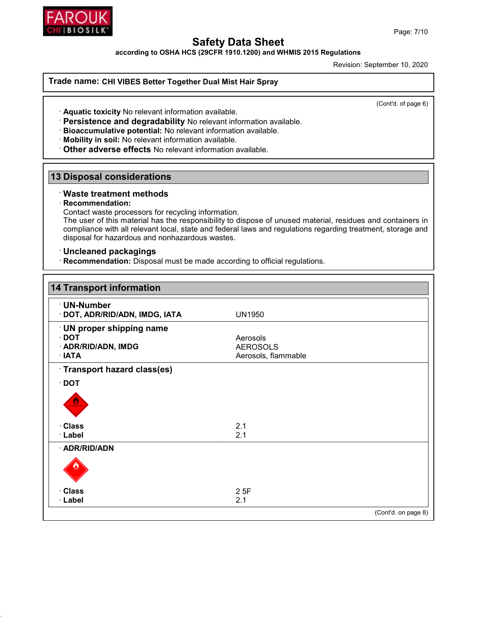



according to OSHA HCS (29CFR 1910.1200) and WHMIS 2015 Regulations

Revision: September 10, 2020

#### Trade name: CHI VIBES Better Together Dual Mist Hair Spray

(Cont'd. of page 6)

· Aquatic toxicity No relevant information available.

- · Persistence and degradability No relevant information available.
- · Bioaccumulative potential: No relevant information available.
- · Mobility in soil: No relevant information available.
- · Other adverse effects No relevant information available.

## 13 Disposal considerations

#### · Waste treatment methods

#### · Recommendation:

Contact waste processors for recycling information.

The user of this material has the responsibility to dispose of unused material, residues and containers in compliance with all relevant local, state and federal laws and regulations regarding treatment, storage and disposal for hazardous and nonhazardous wastes.

#### · Uncleaned packagings

· Recommendation: Disposal must be made according to official regulations.

| <b>14 Transport information</b>                                           |                                                    |                     |
|---------------------------------------------------------------------------|----------------------------------------------------|---------------------|
| · UN-Number<br>· DOT, ADR/RID/ADN, IMDG, IATA                             | <b>UN1950</b>                                      |                     |
| · UN proper shipping name<br>$\cdot$ DOT<br>· ADR/RID/ADN, IMDG<br>· IATA | Aerosols<br><b>AEROSOLS</b><br>Aerosols, flammable |                     |
| Transport hazard class(es)                                                |                                                    |                     |
| $\cdot$ DOT                                                               |                                                    |                     |
| · Class                                                                   | 2.1                                                |                     |
| · Label                                                                   | 2.1                                                |                     |
| · ADR/RID/ADN                                                             |                                                    |                     |
| · Class                                                                   | 25F                                                |                     |
| · Label                                                                   | 2.1                                                |                     |
|                                                                           |                                                    | (Cont'd. on page 8) |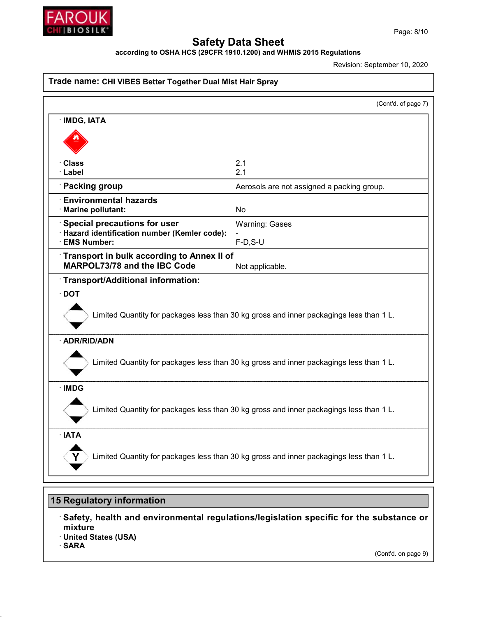

according to OSHA HCS (29CFR 1910.1200) and WHMIS 2015 Regulations

Revision: September 10, 2020

| Trade name: CHI VIBES Better Together Dual Mist Hair Spray                              |                                                                                        |  |
|-----------------------------------------------------------------------------------------|----------------------------------------------------------------------------------------|--|
|                                                                                         | (Cont'd. of page 7)                                                                    |  |
| · IMDG, IATA                                                                            |                                                                                        |  |
|                                                                                         |                                                                                        |  |
| · Class<br>· Label                                                                      | 2.1<br>2.1                                                                             |  |
| · Packing group                                                                         | Aerosols are not assigned a packing group.                                             |  |
| <b>Environmental hazards</b><br>· Marine pollutant:                                     | <b>No</b>                                                                              |  |
| Special precautions for user                                                            | <b>Warning: Gases</b>                                                                  |  |
| · Hazard identification number (Kemler code):<br>· EMS Number:                          | $F-D, S-U$                                                                             |  |
| Transport in bulk according to Annex II of<br>MARPOL73/78 and the IBC Code              | Not applicable.                                                                        |  |
| Transport/Additional information:                                                       |                                                                                        |  |
| Limited Quantity for packages less than 30 kg gross and inner packagings less than 1 L. |                                                                                        |  |
| · ADR/RID/ADN                                                                           |                                                                                        |  |
| Limited Quantity for packages less than 30 kg gross and inner packagings less than 1 L. |                                                                                        |  |
| · IMDG                                                                                  |                                                                                        |  |
| Limited Quantity for packages less than 30 kg gross and inner packagings less than 1 L. |                                                                                        |  |
| · IATA                                                                                  |                                                                                        |  |
| Limited Quantity for packages less than 30 kg gross and inner packagings less than 1 L. |                                                                                        |  |
| <b>15 Regulatory information</b>                                                        |                                                                                        |  |
|                                                                                         | Safety, health and environmental regulations/legislation specific for the substance or |  |

- mixture
- · United States (USA)
- · SARA

(Cont'd. on page 9)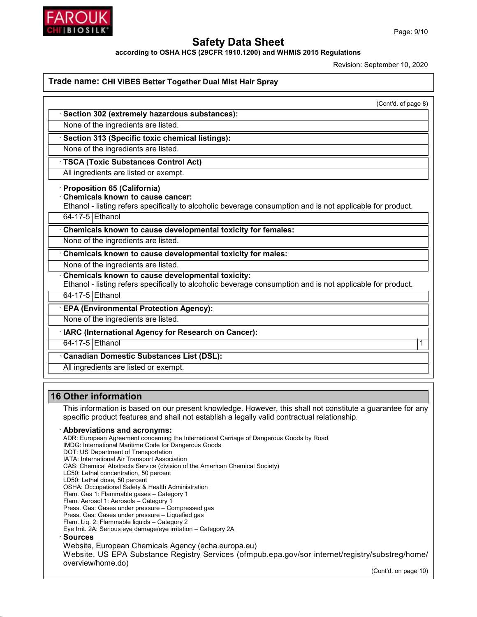

according to OSHA HCS (29CFR 1910.1200) and WHMIS 2015 Regulations

Revision: September 10, 2020

#### Trade name: CHI VIBES Better Together Dual Mist Hair Spray

(Cont'd. of page 8)

Section 302 (extremely hazardous substances):

None of the ingredients are listed.

Section 313 (Specific toxic chemical listings):

None of the ingredients are listed.

**TSCA (Toxic Substances Control Act)** 

All ingredients are listed or exempt.

· Proposition 65 (California)

· Chemicals known to cause cancer:

Ethanol - listing refers specifically to alcoholic beverage consumption and is not applicable for product.

64-17-5 Ethanol

Chemicals known to cause developmental toxicity for females:

None of the ingredients are listed.

Chemicals known to cause developmental toxicity for males:

None of the ingredients are listed.

Chemicals known to cause developmental toxicity:

Ethanol - listing refers specifically to alcoholic beverage consumption and is not applicable for product.

64-17-5 Ethanol

· EPA (Environmental Protection Agency):

None of the ingredients are listed.

IARC (International Agency for Research on Cancer):

64-17-5 Ethanol 1

· Canadian Domestic Substances List (DSL):

All ingredients are listed or exempt.

### 16 Other information

This information is based on our present knowledge. However, this shall not constitute a guarantee for any specific product features and shall not establish a legally valid contractual relationship.

#### · Abbreviations and acronyms:

ADR: European Agreement concerning the International Carriage of Dangerous Goods by Road

IMDG: International Maritime Code for Dangerous Goods

- DOT: US Department of Transportation
- IATA: International Air Transport Association
- CAS: Chemical Abstracts Service (division of the American Chemical Society)
- LC50: Lethal concentration, 50 percent
- LD50: Lethal dose, 50 percent

OSHA: Occupational Safety & Health Administration Flam. Gas 1: Flammable gases – Category 1

Flam. Aerosol 1: Aerosols – Category 1

- Press. Gas: Gases under pressure Compressed gas
- Press. Gas: Gases under pressure Liquefied gas

Flam. Liq. 2: Flammable liquids – Category 2

Eye Irrit. 2A: Serious eye damage/eye irritation – Category 2A

#### · Sources

Website, European Chemicals Agency (echa.europa.eu) Website, US EPA Substance Registry Services (ofmpub.epa.gov/sor internet/registry/substreg/home/ overview/home.do)

(Cont'd. on page 10)